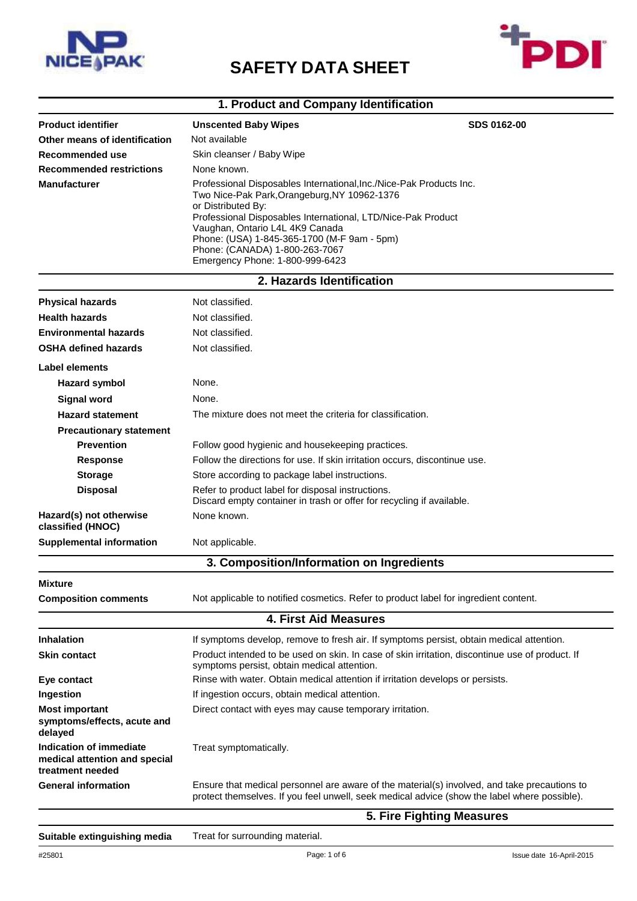

# **SAFETY DATA SHEET**



### **1. Product and Company Identification**

| <b>Product identifier</b><br>Other means of identification                   | <b>Unscented Baby Wipes</b><br>SDS 0162-00<br>Not available                                                                                                                                                                                                                                                                                                      |
|------------------------------------------------------------------------------|------------------------------------------------------------------------------------------------------------------------------------------------------------------------------------------------------------------------------------------------------------------------------------------------------------------------------------------------------------------|
| Recommended use                                                              | Skin cleanser / Baby Wipe                                                                                                                                                                                                                                                                                                                                        |
| <b>Recommended restrictions</b>                                              | None known.                                                                                                                                                                                                                                                                                                                                                      |
| <b>Manufacturer</b>                                                          | Professional Disposables International, Inc./Nice-Pak Products Inc.<br>Two Nice-Pak Park, Orangeburg, NY 10962-1376<br>or Distributed By:<br>Professional Disposables International, LTD/Nice-Pak Product<br>Vaughan, Ontario L4L 4K9 Canada<br>Phone: (USA) 1-845-365-1700 (M-F 9am - 5pm)<br>Phone: (CANADA) 1-800-263-7067<br>Emergency Phone: 1-800-999-6423 |
|                                                                              | 2. Hazards Identification                                                                                                                                                                                                                                                                                                                                        |
| <b>Physical hazards</b>                                                      | Not classified.                                                                                                                                                                                                                                                                                                                                                  |
| <b>Health hazards</b>                                                        | Not classified.                                                                                                                                                                                                                                                                                                                                                  |
| <b>Environmental hazards</b>                                                 | Not classified.                                                                                                                                                                                                                                                                                                                                                  |
| <b>OSHA defined hazards</b>                                                  | Not classified.                                                                                                                                                                                                                                                                                                                                                  |
| Label elements                                                               |                                                                                                                                                                                                                                                                                                                                                                  |
| <b>Hazard symbol</b>                                                         | None.                                                                                                                                                                                                                                                                                                                                                            |
| <b>Signal word</b>                                                           | None.                                                                                                                                                                                                                                                                                                                                                            |
| <b>Hazard statement</b>                                                      | The mixture does not meet the criteria for classification.                                                                                                                                                                                                                                                                                                       |
| <b>Precautionary statement</b>                                               |                                                                                                                                                                                                                                                                                                                                                                  |
| <b>Prevention</b>                                                            | Follow good hygienic and housekeeping practices.                                                                                                                                                                                                                                                                                                                 |
| <b>Response</b>                                                              | Follow the directions for use. If skin irritation occurs, discontinue use.                                                                                                                                                                                                                                                                                       |
| <b>Storage</b>                                                               | Store according to package label instructions.                                                                                                                                                                                                                                                                                                                   |
| <b>Disposal</b>                                                              | Refer to product label for disposal instructions.<br>Discard empty container in trash or offer for recycling if available.                                                                                                                                                                                                                                       |
| Hazard(s) not otherwise<br>classified (HNOC)                                 | None known.                                                                                                                                                                                                                                                                                                                                                      |
| <b>Supplemental information</b>                                              | Not applicable.                                                                                                                                                                                                                                                                                                                                                  |
|                                                                              | 3. Composition/Information on Ingredients                                                                                                                                                                                                                                                                                                                        |
| Mixture                                                                      |                                                                                                                                                                                                                                                                                                                                                                  |
| <b>Composition comments</b>                                                  | Not applicable to notified cosmetics. Refer to product label for ingredient content.                                                                                                                                                                                                                                                                             |
|                                                                              | 4. First Aid Measures                                                                                                                                                                                                                                                                                                                                            |
| <b>Inhalation</b>                                                            | If symptoms develop, remove to fresh air. If symptoms persist, obtain medical attention.                                                                                                                                                                                                                                                                         |
| <b>Skin contact</b>                                                          | Product intended to be used on skin. In case of skin irritation, discontinue use of product. If<br>symptoms persist, obtain medical attention.                                                                                                                                                                                                                   |
| Eye contact                                                                  | Rinse with water. Obtain medical attention if irritation develops or persists.                                                                                                                                                                                                                                                                                   |
| Ingestion                                                                    | If ingestion occurs, obtain medical attention.                                                                                                                                                                                                                                                                                                                   |
| <b>Most important</b><br>symptoms/effects, acute and<br>delayed              | Direct contact with eyes may cause temporary irritation.                                                                                                                                                                                                                                                                                                         |
| Indication of immediate<br>medical attention and special<br>treatment needed | Treat symptomatically.                                                                                                                                                                                                                                                                                                                                           |
| <b>General information</b>                                                   | Ensure that medical personnel are aware of the material(s) involved, and take precautions to<br>protect themselves. If you feel unwell, seek medical advice (show the label where possible).                                                                                                                                                                     |
|                                                                              | 5. Fire Fighting Measures                                                                                                                                                                                                                                                                                                                                        |
|                                                                              | Tract for ourrounding motorial                                                                                                                                                                                                                                                                                                                                   |

**Suitable extinguishing media** Treat for surrounding material.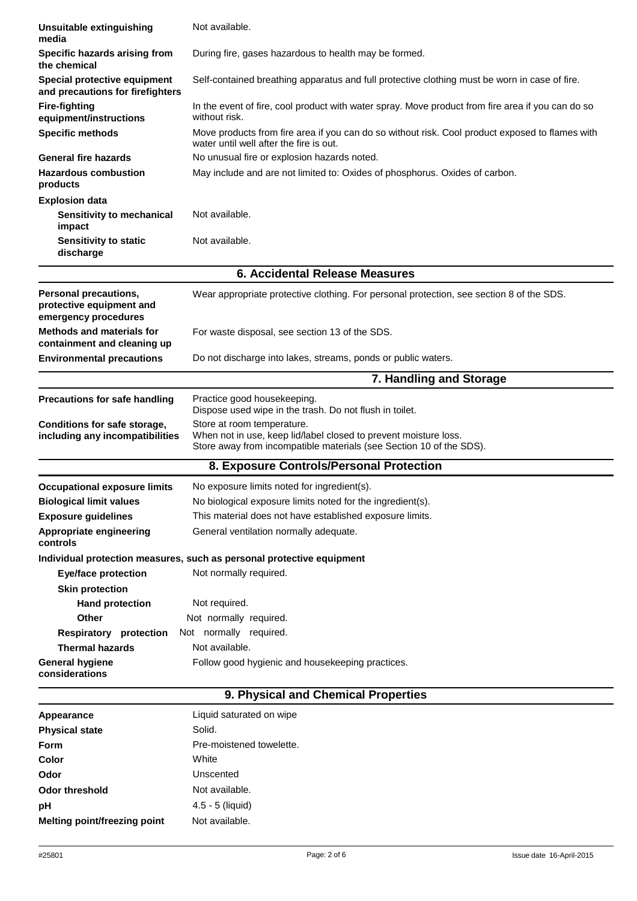| Unsuitable extinguishing<br>media                                         | Not available.                                                                                                                                                        |
|---------------------------------------------------------------------------|-----------------------------------------------------------------------------------------------------------------------------------------------------------------------|
| Specific hazards arising from                                             | During fire, gases hazardous to health may be formed.                                                                                                                 |
| the chemical                                                              |                                                                                                                                                                       |
| Special protective equipment<br>and precautions for firefighters          | Self-contained breathing apparatus and full protective clothing must be worn in case of fire.                                                                         |
| <b>Fire-fighting</b><br>equipment/instructions                            | In the event of fire, cool product with water spray. Move product from fire area if you can do so<br>without risk.                                                    |
| <b>Specific methods</b>                                                   | Move products from fire area if you can do so without risk. Cool product exposed to flames with<br>water until well after the fire is out.                            |
| <b>General fire hazards</b>                                               | No unusual fire or explosion hazards noted.                                                                                                                           |
| <b>Hazardous combustion</b><br>products                                   | May include and are not limited to: Oxides of phosphorus. Oxides of carbon.                                                                                           |
| <b>Explosion data</b>                                                     |                                                                                                                                                                       |
| Sensitivity to mechanical<br>impact                                       | Not available.                                                                                                                                                        |
| <b>Sensitivity to static</b><br>discharge                                 | Not available.                                                                                                                                                        |
|                                                                           | <b>6. Accidental Release Measures</b>                                                                                                                                 |
| Personal precautions,<br>protective equipment and<br>emergency procedures | Wear appropriate protective clothing. For personal protection, see section 8 of the SDS.                                                                              |
| <b>Methods and materials for</b><br>containment and cleaning up           | For waste disposal, see section 13 of the SDS.                                                                                                                        |
| <b>Environmental precautions</b>                                          | Do not discharge into lakes, streams, ponds or public waters.                                                                                                         |
|                                                                           | 7. Handling and Storage                                                                                                                                               |
| <b>Precautions for safe handling</b>                                      | Practice good housekeeping.<br>Dispose used wipe in the trash. Do not flush in toilet.                                                                                |
| Conditions for safe storage,<br>including any incompatibilities           | Store at room temperature.<br>When not in use, keep lid/label closed to prevent moisture loss.<br>Store away from incompatible materials (see Section 10 of the SDS). |
|                                                                           | 8. Exposure Controls/Personal Protection                                                                                                                              |
| <b>Occupational exposure limits</b>                                       | No exposure limits noted for ingredient(s).                                                                                                                           |
| <b>Biological limit values</b>                                            | No biological exposure limits noted for the ingredient(s).                                                                                                            |
| <b>Exposure guidelines</b>                                                | This material does not have established exposure limits.                                                                                                              |
| Appropriate engineering<br>controls                                       | General ventilation normally adequate.                                                                                                                                |
|                                                                           | Individual protection measures, such as personal protective equipment                                                                                                 |
| <b>Eye/face protection</b>                                                | Not normally required.                                                                                                                                                |
| <b>Skin protection</b>                                                    |                                                                                                                                                                       |
| <b>Hand protection</b>                                                    | Not required.                                                                                                                                                         |
| <b>Other</b>                                                              | Not normally required.                                                                                                                                                |
| Respiratory protection                                                    | Not normally required.                                                                                                                                                |
| <b>Thermal hazards</b>                                                    | Not available.                                                                                                                                                        |
| <b>General hygiene</b><br>considerations                                  | Follow good hygienic and housekeeping practices.                                                                                                                      |
|                                                                           | 9. Physical and Chemical Properties                                                                                                                                   |
| Appearance                                                                | Liquid saturated on wipe                                                                                                                                              |
| <b>Physical state</b>                                                     | Solid.                                                                                                                                                                |
| Form                                                                      | Pre-moistened towelette.                                                                                                                                              |
| Color                                                                     | White                                                                                                                                                                 |
| Odor                                                                      | Unscented                                                                                                                                                             |
| <b>Odor threshold</b>                                                     | Not available.                                                                                                                                                        |
| pH                                                                        | 4.5 - 5 (liquid)                                                                                                                                                      |
|                                                                           |                                                                                                                                                                       |
| <b>Melting point/freezing point</b>                                       | Not available.                                                                                                                                                        |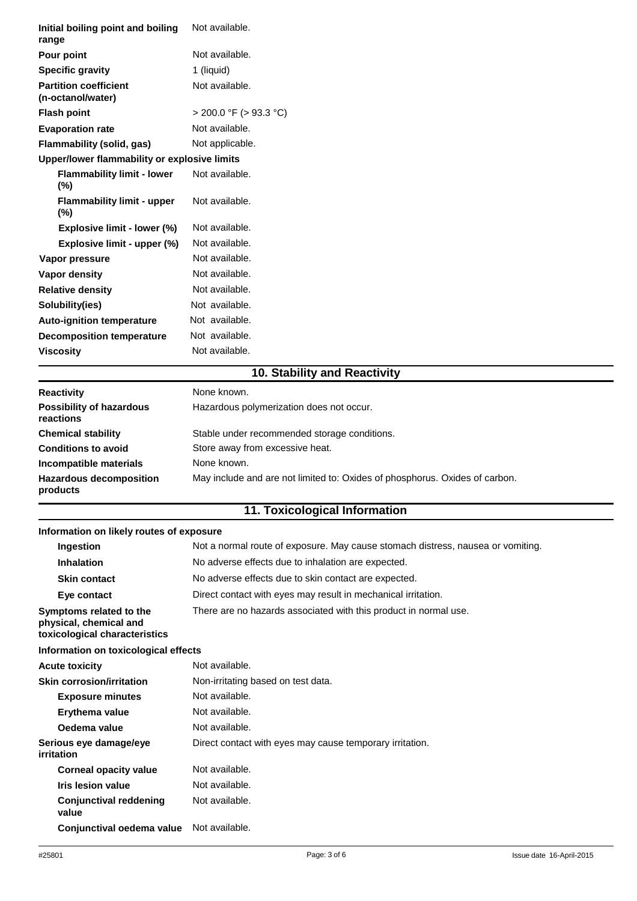| Initial boiling point and boiling<br>range        | Not available.              |
|---------------------------------------------------|-----------------------------|
| Pour point                                        | Not available.              |
| <b>Specific gravity</b>                           | 1 (liquid)                  |
| <b>Partition coefficient</b><br>(n-octanol/water) | Not available.              |
| <b>Flash point</b>                                | $>$ 200.0 °F ( $>$ 93.3 °C) |
| <b>Evaporation rate</b>                           | Not available.              |
| <b>Flammability (solid, gas)</b>                  | Not applicable.             |
| Upper/lower flammability or explosive limits      |                             |
| <b>Flammability limit - lower</b><br>$(\%)$       | Not available.              |
| <b>Flammability limit - upper</b><br>$(\%)$       | Not available.              |
| Explosive limit - lower (%)                       | Not available.              |
| Explosive limit - upper (%)                       | Not available.              |
| Vapor pressure                                    | Not available.              |
| Vapor density                                     | Not available.              |
| <b>Relative density</b>                           | Not available.              |
| Solubility(ies)                                   | Not available.              |
| Auto-ignition temperature                         | Not available.              |
| <b>Decomposition temperature</b>                  | Not available.              |
| <b>Viscosity</b>                                  | Not available.              |

## **10. Stability and Reactivity**

| <b>Reactivity</b>                            | None known.                                                                 |
|----------------------------------------------|-----------------------------------------------------------------------------|
| <b>Possibility of hazardous</b><br>reactions | Hazardous polymerization does not occur.                                    |
| <b>Chemical stability</b>                    | Stable under recommended storage conditions.                                |
| <b>Conditions to avoid</b>                   | Store away from excessive heat.                                             |
| Incompatible materials                       | None known.                                                                 |
| <b>Hazardous decomposition</b><br>products   | May include and are not limited to: Oxides of phosphorus. Oxides of carbon. |

### **11. Toxicological Information**

| Information on likely routes of exposure                                           |                                                                                 |  |
|------------------------------------------------------------------------------------|---------------------------------------------------------------------------------|--|
| Ingestion                                                                          | Not a normal route of exposure. May cause stomach distress, nausea or vomiting. |  |
| <b>Inhalation</b>                                                                  | No adverse effects due to inhalation are expected.                              |  |
| <b>Skin contact</b>                                                                | No adverse effects due to skin contact are expected.                            |  |
| Eye contact                                                                        | Direct contact with eyes may result in mechanical irritation.                   |  |
| Symptoms related to the<br>physical, chemical and<br>toxicological characteristics | There are no hazards associated with this product in normal use.                |  |
| Information on toxicological effects                                               |                                                                                 |  |
| <b>Acute toxicity</b>                                                              | Not available.                                                                  |  |
| Skin corrosion/irritation                                                          | Non-irritating based on test data.                                              |  |
| <b>Exposure minutes</b>                                                            | Not available.                                                                  |  |
| Erythema value                                                                     | Not available.                                                                  |  |
| Oedema value                                                                       | Not available.                                                                  |  |
| Serious eye damage/eye<br>irritation                                               | Direct contact with eyes may cause temporary irritation.                        |  |
| <b>Corneal opacity value</b>                                                       | Not available.                                                                  |  |
| Iris lesion value                                                                  | Not available.                                                                  |  |
| <b>Conjunctival reddening</b><br>value                                             | Not available.                                                                  |  |
| Conjunctival oedema value Not available.                                           |                                                                                 |  |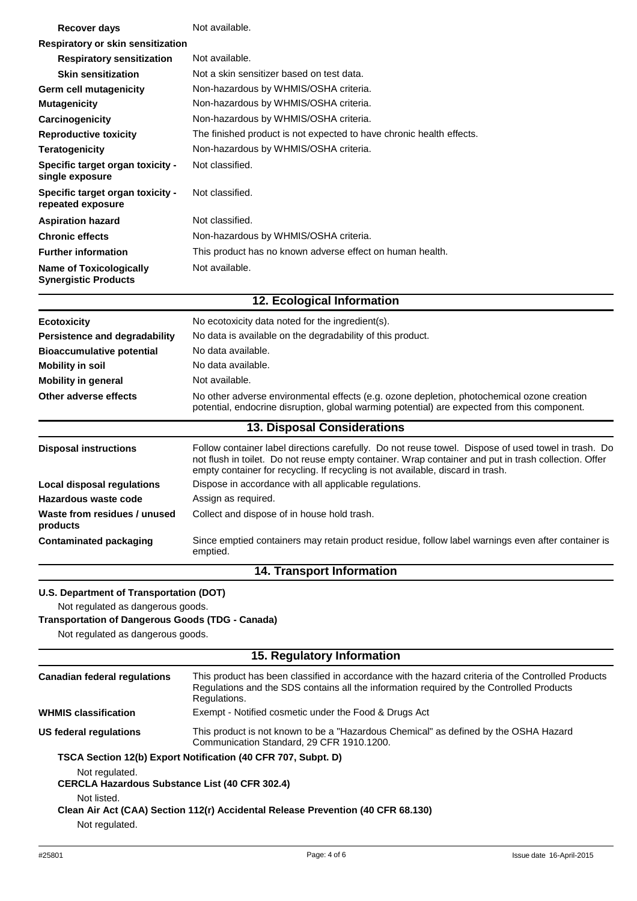| Recover days                                                                           | Not available.                                                                                                                                                                                                                                                                                 |  |  |
|----------------------------------------------------------------------------------------|------------------------------------------------------------------------------------------------------------------------------------------------------------------------------------------------------------------------------------------------------------------------------------------------|--|--|
| <b>Respiratory or skin sensitization</b>                                               |                                                                                                                                                                                                                                                                                                |  |  |
| <b>Respiratory sensitization</b>                                                       | Not available.                                                                                                                                                                                                                                                                                 |  |  |
| <b>Skin sensitization</b>                                                              | Not a skin sensitizer based on test data.                                                                                                                                                                                                                                                      |  |  |
| Germ cell mutagenicity                                                                 | Non-hazardous by WHMIS/OSHA criteria.                                                                                                                                                                                                                                                          |  |  |
| <b>Mutagenicity</b>                                                                    | Non-hazardous by WHMIS/OSHA criteria.                                                                                                                                                                                                                                                          |  |  |
| Carcinogenicity                                                                        | Non-hazardous by WHMIS/OSHA criteria.                                                                                                                                                                                                                                                          |  |  |
| <b>Reproductive toxicity</b>                                                           | The finished product is not expected to have chronic health effects.                                                                                                                                                                                                                           |  |  |
| <b>Teratogenicity</b>                                                                  | Non-hazardous by WHMIS/OSHA criteria.                                                                                                                                                                                                                                                          |  |  |
| Specific target organ toxicity -<br>single exposure                                    | Not classified.                                                                                                                                                                                                                                                                                |  |  |
| Specific target organ toxicity -<br>repeated exposure                                  | Not classified.                                                                                                                                                                                                                                                                                |  |  |
| <b>Aspiration hazard</b>                                                               | Not classified.                                                                                                                                                                                                                                                                                |  |  |
| <b>Chronic effects</b>                                                                 | Non-hazardous by WHMIS/OSHA criteria.                                                                                                                                                                                                                                                          |  |  |
| <b>Further information</b>                                                             | This product has no known adverse effect on human health.                                                                                                                                                                                                                                      |  |  |
| <b>Name of Toxicologically</b><br><b>Synergistic Products</b>                          | Not available.                                                                                                                                                                                                                                                                                 |  |  |
|                                                                                        | 12. Ecological Information                                                                                                                                                                                                                                                                     |  |  |
| <b>Ecotoxicity</b>                                                                     | No ecotoxicity data noted for the ingredient(s).                                                                                                                                                                                                                                               |  |  |
| Persistence and degradability                                                          | No data is available on the degradability of this product.                                                                                                                                                                                                                                     |  |  |
| <b>Bioaccumulative potential</b>                                                       | No data available.                                                                                                                                                                                                                                                                             |  |  |
| <b>Mobility in soil</b>                                                                | No data available.                                                                                                                                                                                                                                                                             |  |  |
| <b>Mobility in general</b>                                                             | Not available.                                                                                                                                                                                                                                                                                 |  |  |
| Other adverse effects                                                                  | No other adverse environmental effects (e.g. ozone depletion, photochemical ozone creation<br>potential, endocrine disruption, global warming potential) are expected from this component.                                                                                                     |  |  |
|                                                                                        | <b>13. Disposal Considerations</b>                                                                                                                                                                                                                                                             |  |  |
| <b>Disposal instructions</b>                                                           | Follow container label directions carefully. Do not reuse towel. Dispose of used towel in trash. Do<br>not flush in toilet. Do not reuse empty container. Wrap container and put in trash collection. Offer<br>empty container for recycling. If recycling is not available, discard in trash. |  |  |
| <b>Local disposal regulations</b>                                                      | Dispose in accordance with all applicable regulations.                                                                                                                                                                                                                                         |  |  |
| Hazardous waste code                                                                   | Assign as required.                                                                                                                                                                                                                                                                            |  |  |
| Waste from residues / unused<br>products                                               | Collect and dispose of in house hold trash.                                                                                                                                                                                                                                                    |  |  |
| <b>Contaminated packaging</b>                                                          | Since emptied containers may retain product residue, follow label warnings even after container is<br>emptied.                                                                                                                                                                                 |  |  |
|                                                                                        | <b>14. Transport Information</b>                                                                                                                                                                                                                                                               |  |  |
| U.S. Department of Transportation (DOT)                                                |                                                                                                                                                                                                                                                                                                |  |  |
| Not regulated as dangerous goods.                                                      |                                                                                                                                                                                                                                                                                                |  |  |
| <b>Transportation of Dangerous Goods (TDG - Canada)</b>                                |                                                                                                                                                                                                                                                                                                |  |  |
| Not regulated as dangerous goods.                                                      |                                                                                                                                                                                                                                                                                                |  |  |
|                                                                                        | 15. Regulatory Information                                                                                                                                                                                                                                                                     |  |  |
| <b>Canadian federal regulations</b>                                                    | This product has been classified in accordance with the hazard criteria of the Controlled Products<br>Regulations and the SDS contains all the information required by the Controlled Products<br>Regulations.                                                                                 |  |  |
| <b>WHMIS classification</b>                                                            | Exempt - Notified cosmetic under the Food & Drugs Act                                                                                                                                                                                                                                          |  |  |
| US federal regulations                                                                 | This product is not known to be a "Hazardous Chemical" as defined by the OSHA Hazard<br>Communication Standard, 29 CFR 1910.1200.                                                                                                                                                              |  |  |
|                                                                                        | TSCA Section 12(b) Export Notification (40 CFR 707, Subpt. D)                                                                                                                                                                                                                                  |  |  |
| Not regulated.<br><b>CERCLA Hazardous Substance List (40 CFR 302.4)</b><br>Not listed. | Clean Air Act (CAA) Section 112(r) Accidental Release Prevention (40 CFR 68.130)                                                                                                                                                                                                               |  |  |
| Not rogulated                                                                          |                                                                                                                                                                                                                                                                                                |  |  |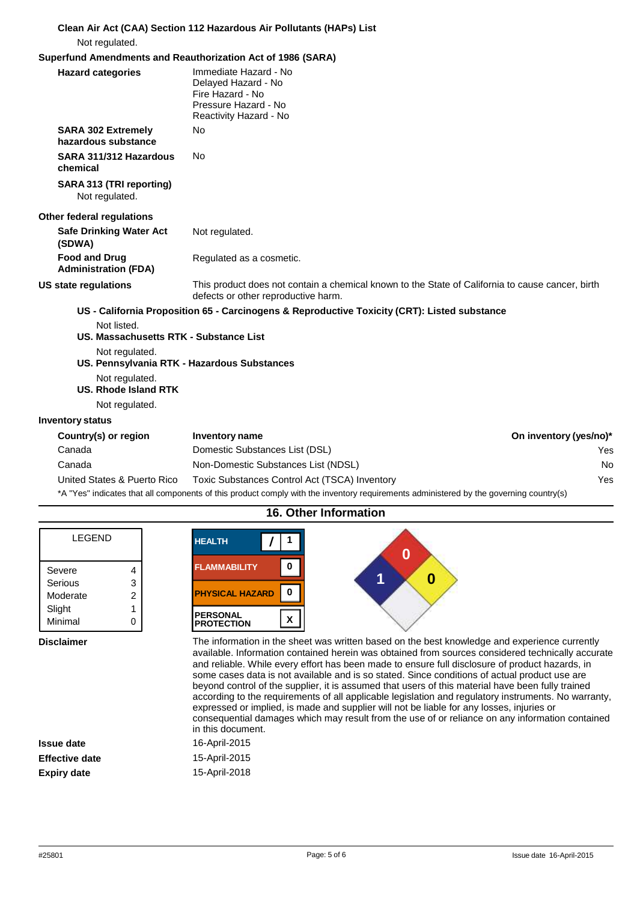#### **Clean Air Act (CAA) Section 112 Hazardous Air Pollutants (HAPs) List** Not regulated.

#### **Superfund Amendments and Reauthorization Act of 1986 (SARA)**

| Immediate Hazard - No<br>Delayed Hazard - No<br>Fire Hazard - No<br>Pressure Hazard - No<br>Reactivity Hazard - No                      |                                                                                                                                                     |
|-----------------------------------------------------------------------------------------------------------------------------------------|-----------------------------------------------------------------------------------------------------------------------------------------------------|
| <b>No</b>                                                                                                                               |                                                                                                                                                     |
| <b>No</b>                                                                                                                               |                                                                                                                                                     |
|                                                                                                                                         |                                                                                                                                                     |
|                                                                                                                                         |                                                                                                                                                     |
| Not regulated.                                                                                                                          |                                                                                                                                                     |
| Regulated as a cosmetic.                                                                                                                |                                                                                                                                                     |
| This product does not contain a chemical known to the State of California to cause cancer, birth<br>defects or other reproductive harm. |                                                                                                                                                     |
| US - California Proposition 65 - Carcinogens & Reproductive Toxicity (CRT): Listed substance                                            |                                                                                                                                                     |
| <b>US. Massachusetts RTK - Substance List</b><br>US. Pennsylvania RTK - Hazardous Substances                                            |                                                                                                                                                     |
|                                                                                                                                         |                                                                                                                                                     |
|                                                                                                                                         |                                                                                                                                                     |
|                                                                                                                                         |                                                                                                                                                     |
|                                                                                                                                         | On inventory (yes/no)*<br>Yes                                                                                                                       |
|                                                                                                                                         | No                                                                                                                                                  |
| Toxic Substances Control Act (TSCA) Inventory                                                                                           | Yes                                                                                                                                                 |
|                                                                                                                                         | Chana Amenamento ana Iteaathonzation Avit of 1900 (OARA)<br>Inventory name<br>Domestic Substances List (DSL)<br>Non-Domestic Substances List (NDSL) |

\*A "Yes" indicates that all components of this product comply with the inventory requirements administered by the governing country(s)

| <b>16. Other Information</b> |  |
|------------------------------|--|
|------------------------------|--|

| LEGEND   |                |
|----------|----------------|
|          |                |
| Severe   | 4              |
| Serious  | 3              |
| Moderate | $\overline{2}$ |
| Slight   | 1              |
| Minimal  |                |

| <b>HEALTH</b>                 |  |
|-------------------------------|--|
| <b>FLAMMABILITY</b>           |  |
| <b>PHYSICAL HAZARD</b>        |  |
| <b>PERSONAL</b><br>PROTECTION |  |

**Disclaimer** The information in the sheet was written based on the best knowledge and experience currently available. Information contained herein was obtained from sources considered technically accurate and reliable. While every effort has been made to ensure full disclosure of product hazards, in some cases data is not available and is so stated. Since conditions of actual product use are beyond control of the supplier, it is assumed that users of this material have been fully trained according to the requirements of all applicable legislation and regulatory instruments. No warranty, expressed or implied, is made and supplier will not be liable for any losses, injuries or consequential damages which may result from the use of or reliance on any information contained in this document.

| <b>Issue date</b>     |  |
|-----------------------|--|
| <b>Effective date</b> |  |
| <b>Expiry date</b>    |  |

**Issue date** 16-April-2015 **Effective date** 15-April-2015 **Expiry date** 15-April-2018